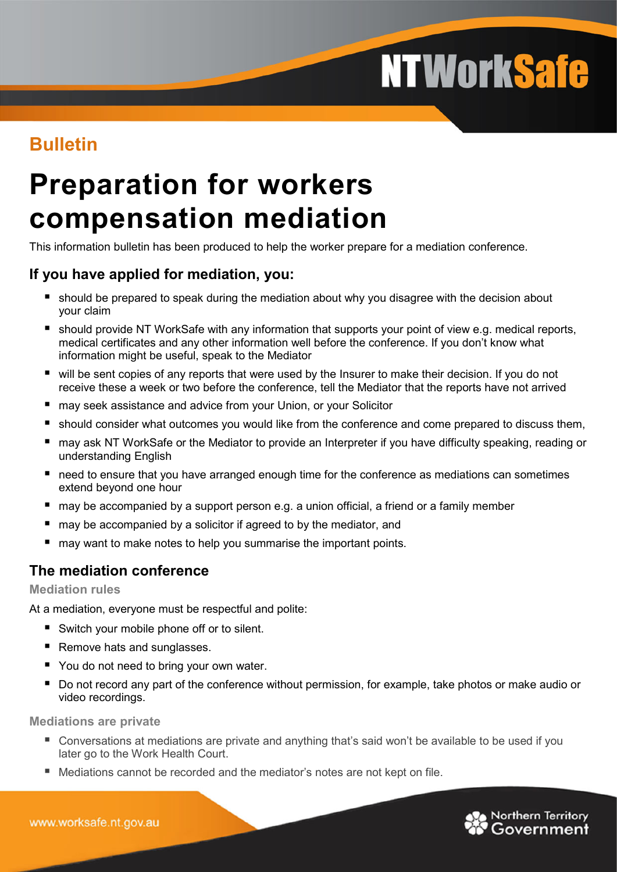# **NTWorkSafe**

# **Bulletin**

# **Preparation for workers compensation mediation**

This information bulletin has been produced to help the worker prepare for a mediation conference.

# **If you have applied for mediation, you:**

- **should be prepared to speak during the mediation about why you disagree with the decision about** your claim
- should provide NT WorkSafe with any information that supports your point of view e.g. medical reports, medical certificates and any other information well before the conference. If you don't know what information might be useful, speak to the Mediator
- will be sent copies of any reports that were used by the Insurer to make their decision. If you do not receive these a week or two before the conference, tell the Mediator that the reports have not arrived
- may seek assistance and advice from your Union, or your Solicitor
- **should consider what outcomes you would like from the conference and come prepared to discuss them,**
- may ask NT WorkSafe or the Mediator to provide an Interpreter if you have difficulty speaking, reading or understanding English
- need to ensure that you have arranged enough time for the conference as mediations can sometimes extend beyond one hour
- may be accompanied by a support person e.g. a union official, a friend or a family member
- may be accompanied by a solicitor if agreed to by the mediator, and
- may want to make notes to help you summarise the important points.

# **The mediation conference**

#### **Mediation rules**

At a mediation, everyone must be respectful and polite:

- Switch your mobile phone off or to silent.
- Remove hats and sunglasses.
- You do not need to bring your own water.
- Do not record any part of the conference without permission, for example, take photos or make audio or video recordings.

**Mediations are private**

- Conversations at mediations are private and anything that's said won't be available to be used if you later go to the Work Health Court.
- Mediations cannot be recorded and the mediator's notes are not kept on file.